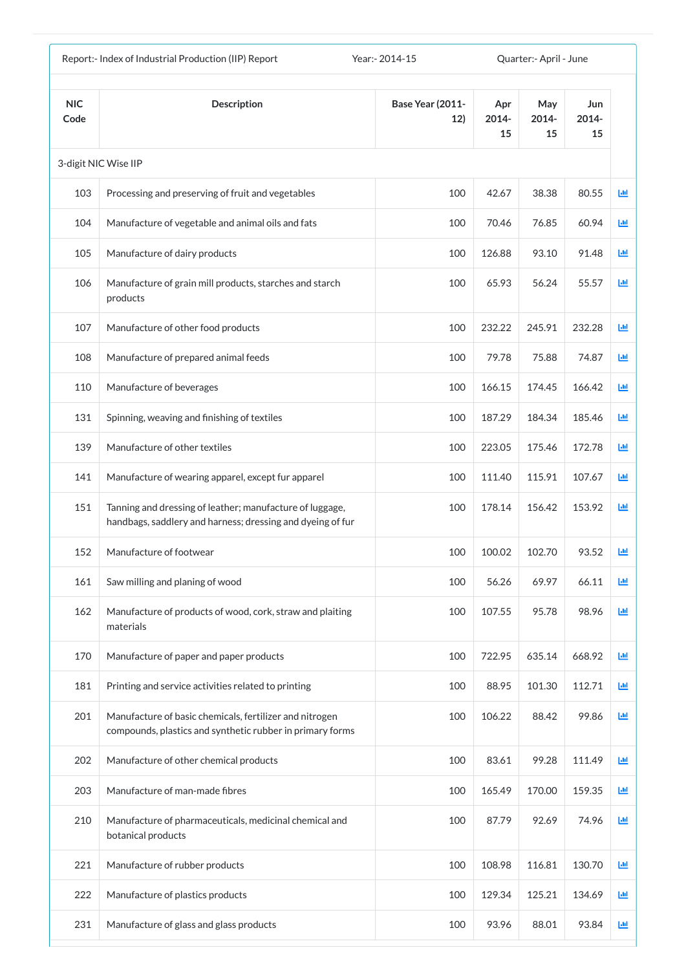| Report:- Index of Industrial Production (IIP) Report<br>Year: - 2014-15 |                                                                                                                        |                                | Quarter:- April - June |                    |                    |            |
|-------------------------------------------------------------------------|------------------------------------------------------------------------------------------------------------------------|--------------------------------|------------------------|--------------------|--------------------|------------|
| <b>NIC</b><br>Code                                                      | <b>Description</b>                                                                                                     | <b>Base Year (2011-</b><br>12) | Apr<br>2014-<br>15     | May<br>2014-<br>15 | Jun<br>2014-<br>15 |            |
|                                                                         | 3-digit NIC Wise IIP                                                                                                   |                                |                        |                    |                    |            |
| 103                                                                     | Processing and preserving of fruit and vegetables                                                                      | 100                            | 42.67                  | 38.38              | 80.55              | 匝          |
| 104                                                                     | Manufacture of vegetable and animal oils and fats                                                                      | 100                            | 70.46                  | 76.85              | 60.94              | 匝          |
| 105                                                                     | Manufacture of dairy products                                                                                          | 100                            | 126.88                 | 93.10              | 91.48              | <u>Lul</u> |
| 106                                                                     | Manufacture of grain mill products, starches and starch<br>products                                                    | 100                            | 65.93                  | 56.24              | 55.57              | 画          |
| 107                                                                     | Manufacture of other food products                                                                                     | 100                            | 232.22                 | 245.91             | 232.28             | 画          |
| 108                                                                     | Manufacture of prepared animal feeds                                                                                   | 100                            | 79.78                  | 75.88              | 74.87              | 画          |
| 110                                                                     | Manufacture of beverages                                                                                               | 100                            | 166.15                 | 174.45             | 166.42             | <b>M</b>   |
| 131                                                                     | Spinning, weaving and finishing of textiles                                                                            | 100                            | 187.29                 | 184.34             | 185.46             | 画          |
| 139                                                                     | Manufacture of other textiles                                                                                          | 100                            | 223.05                 | 175.46             | 172.78             | ш          |
| 141                                                                     | Manufacture of wearing apparel, except fur apparel                                                                     | 100                            | 111.40                 | 115.91             | 107.67             | ш          |
| 151                                                                     | Tanning and dressing of leather; manufacture of luggage,<br>handbags, saddlery and harness; dressing and dyeing of fur | 100                            | 178.14                 | 156.42             | 153.92             | 國          |
| 152                                                                     | Manufacture of footwear                                                                                                | 100                            | 100.02                 | 102.70             | 93.52              | 画          |
| 161                                                                     | Saw milling and planing of wood                                                                                        | 100                            | 56.26                  | 69.97              | 66.11              | 画          |
| 162                                                                     | Manufacture of products of wood, cork, straw and plaiting<br>materials                                                 | 100                            | 107.55                 | 95.78              | 98.96              | 画          |
| 170                                                                     | Manufacture of paper and paper products                                                                                | 100                            | 722.95                 | 635.14             | 668.92             | 画          |
| 181                                                                     | Printing and service activities related to printing                                                                    | 100                            | 88.95                  | 101.30             | 112.71             | 画          |
| 201                                                                     | Manufacture of basic chemicals, fertilizer and nitrogen<br>compounds, plastics and synthetic rubber in primary forms   | 100                            | 106.22                 | 88.42              | 99.86              | 画          |
| 202                                                                     | Manufacture of other chemical products                                                                                 | 100                            | 83.61                  | 99.28              | 111.49             | 國          |
| 203                                                                     | Manufacture of man-made fibres                                                                                         | 100                            | 165.49                 | 170.00             | 159.35             | 画          |
| 210                                                                     | Manufacture of pharmaceuticals, medicinal chemical and<br>botanical products                                           | 100                            | 87.79                  | 92.69              | 74.96              | 画          |
| 221                                                                     | Manufacture of rubber products                                                                                         | 100                            | 108.98                 | 116.81             | 130.70             | 画          |
| 222                                                                     | Manufacture of plastics products                                                                                       | 100                            | 129.34                 | 125.21             | 134.69             | 國          |
| 231                                                                     | Manufacture of glass and glass products                                                                                | 100                            | 93.96                  | 88.01              | 93.84              | 画          |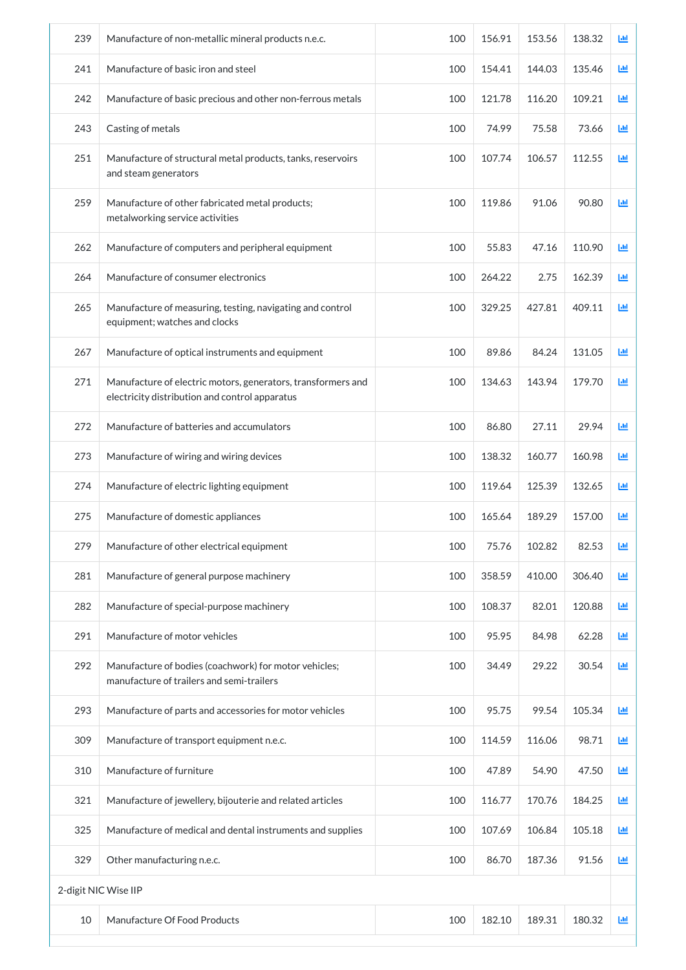| 239                  | Manufacture of non-metallic mineral products n.e.c.                                                            | 100 | 156.91 | 153.56 | 138.32 | Ш |
|----------------------|----------------------------------------------------------------------------------------------------------------|-----|--------|--------|--------|---|
| 241                  | Manufacture of basic iron and steel                                                                            | 100 | 154.41 | 144.03 | 135.46 | 画 |
| 242                  | Manufacture of basic precious and other non-ferrous metals                                                     | 100 | 121.78 | 116.20 | 109.21 | 画 |
| 243                  | Casting of metals                                                                                              | 100 | 74.99  | 75.58  | 73.66  | 画 |
| 251                  | Manufacture of structural metal products, tanks, reservoirs<br>and steam generators                            | 100 | 107.74 | 106.57 | 112.55 | 画 |
| 259                  | Manufacture of other fabricated metal products;<br>metalworking service activities                             | 100 | 119.86 | 91.06  | 90.80  | 画 |
| 262                  | Manufacture of computers and peripheral equipment                                                              | 100 | 55.83  | 47.16  | 110.90 | 画 |
| 264                  | Manufacture of consumer electronics                                                                            | 100 | 264.22 | 2.75   | 162.39 | 画 |
| 265                  | Manufacture of measuring, testing, navigating and control<br>equipment; watches and clocks                     | 100 | 329.25 | 427.81 | 409.11 | 画 |
| 267                  | Manufacture of optical instruments and equipment                                                               | 100 | 89.86  | 84.24  | 131.05 | 画 |
| 271                  | Manufacture of electric motors, generators, transformers and<br>electricity distribution and control apparatus | 100 | 134.63 | 143.94 | 179.70 | 画 |
| 272                  | Manufacture of batteries and accumulators                                                                      | 100 | 86.80  | 27.11  | 29.94  | ш |
| 273                  | Manufacture of wiring and wiring devices                                                                       | 100 | 138.32 | 160.77 | 160.98 | 画 |
| 274                  | Manufacture of electric lighting equipment                                                                     | 100 | 119.64 | 125.39 | 132.65 | 画 |
| 275                  | Manufacture of domestic appliances                                                                             | 100 | 165.64 | 189.29 | 157.00 | ш |
| 279                  | Manufacture of other electrical equipment                                                                      | 100 | 75.76  | 102.82 | 82.53  | 画 |
| 281                  | Manufacture of general purpose machinery                                                                       | 100 | 358.59 | 410.00 | 306.40 | 画 |
| 282                  | Manufacture of special-purpose machinery                                                                       | 100 | 108.37 | 82.01  | 120.88 | 画 |
| 291                  | Manufacture of motor vehicles                                                                                  | 100 | 95.95  | 84.98  | 62.28  | 画 |
| 292                  | Manufacture of bodies (coachwork) for motor vehicles;<br>manufacture of trailers and semi-trailers             | 100 | 34.49  | 29.22  | 30.54  | 画 |
| 293                  | Manufacture of parts and accessories for motor vehicles                                                        | 100 | 95.75  | 99.54  | 105.34 | 画 |
| 309                  | Manufacture of transport equipment n.e.c.                                                                      | 100 | 114.59 | 116.06 | 98.71  | 画 |
| 310                  | Manufacture of furniture                                                                                       | 100 | 47.89  | 54.90  | 47.50  | 画 |
| 321                  | Manufacture of jewellery, bijouterie and related articles                                                      | 100 | 116.77 | 170.76 | 184.25 | 画 |
| 325                  | Manufacture of medical and dental instruments and supplies                                                     | 100 | 107.69 | 106.84 | 105.18 | 画 |
| 329                  | Other manufacturing n.e.c.                                                                                     | 100 | 86.70  | 187.36 | 91.56  | 画 |
| 2-digit NIC Wise IIP |                                                                                                                |     |        |        |        |   |
| 10                   | Manufacture Of Food Products                                                                                   | 100 | 182.10 | 189.31 | 180.32 | 画 |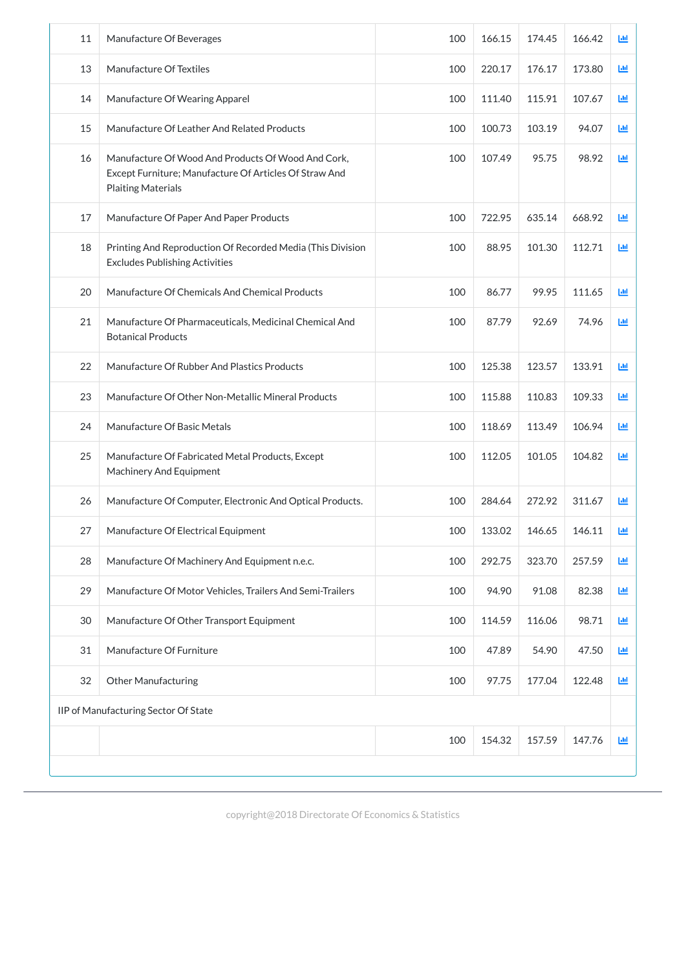| 11 | Manufacture Of Beverages                                                                                                                  | 100 | 166.15 | 174.45 | 166.42 | 画          |
|----|-------------------------------------------------------------------------------------------------------------------------------------------|-----|--------|--------|--------|------------|
| 13 | Manufacture Of Textiles                                                                                                                   | 100 | 220.17 | 176.17 | 173.80 | <b>Lul</b> |
| 14 | Manufacture Of Wearing Apparel                                                                                                            | 100 | 111.40 | 115.91 | 107.67 | ĿШ         |
| 15 | Manufacture Of Leather And Related Products                                                                                               | 100 | 100.73 | 103.19 | 94.07  | 画          |
| 16 | Manufacture Of Wood And Products Of Wood And Cork,<br>Except Furniture; Manufacture Of Articles Of Straw And<br><b>Plaiting Materials</b> | 100 | 107.49 | 95.75  | 98.92  | <b>Ltd</b> |
| 17 | Manufacture Of Paper And Paper Products                                                                                                   | 100 | 722.95 | 635.14 | 668.92 | <b>Ltd</b> |
| 18 | Printing And Reproduction Of Recorded Media (This Division<br><b>Excludes Publishing Activities</b>                                       | 100 | 88.95  | 101.30 | 112.71 | <b>Ltd</b> |
| 20 | Manufacture Of Chemicals And Chemical Products                                                                                            | 100 | 86.77  | 99.95  | 111.65 | 画          |
| 21 | Manufacture Of Pharmaceuticals, Medicinal Chemical And<br><b>Botanical Products</b>                                                       | 100 | 87.79  | 92.69  | 74.96  | 画          |
| 22 | Manufacture Of Rubber And Plastics Products                                                                                               | 100 | 125.38 | 123.57 | 133.91 | <b>Lul</b> |
| 23 | Manufacture Of Other Non-Metallic Mineral Products                                                                                        | 100 | 115.88 | 110.83 | 109.33 | 画          |
| 24 | Manufacture Of Basic Metals                                                                                                               | 100 | 118.69 | 113.49 | 106.94 | ĿЩ         |
| 25 | Manufacture Of Fabricated Metal Products, Except<br>Machinery And Equipment                                                               | 100 | 112.05 | 101.05 | 104.82 | 画          |
| 26 | Manufacture Of Computer, Electronic And Optical Products.                                                                                 | 100 | 284.64 | 272.92 | 311.67 | 画          |
| 27 | Manufacture Of Electrical Equipment                                                                                                       | 100 | 133.02 | 146.65 | 146.11 | 画          |
| 28 | Manufacture Of Machinery And Equipment n.e.c.                                                                                             | 100 | 292.75 | 323.70 | 257.59 | 画          |
| 29 | Manufacture Of Motor Vehicles, Trailers And Semi-Trailers                                                                                 | 100 | 94.90  | 91.08  | 82.38  | 画          |
| 30 | Manufacture Of Other Transport Equipment                                                                                                  | 100 | 114.59 | 116.06 | 98.71  | 画          |
| 31 | Manufacture Of Furniture                                                                                                                  | 100 | 47.89  | 54.90  | 47.50  | 画          |
| 32 | <b>Other Manufacturing</b>                                                                                                                | 100 | 97.75  | 177.04 | 122.48 | ĿЩ         |
|    | IIP of Manufacturing Sector Of State                                                                                                      |     |        |        |        |            |
|    |                                                                                                                                           |     |        |        |        |            |

| 100 | $\cap$<br>$  -$<br>$\sim$<br>-- | 1.57.5<br>. J<br>-- | $\Delta$ 7<br>–<br>' O | [Jd |
|-----|---------------------------------|---------------------|------------------------|-----|
|     |                                 |                     |                        |     |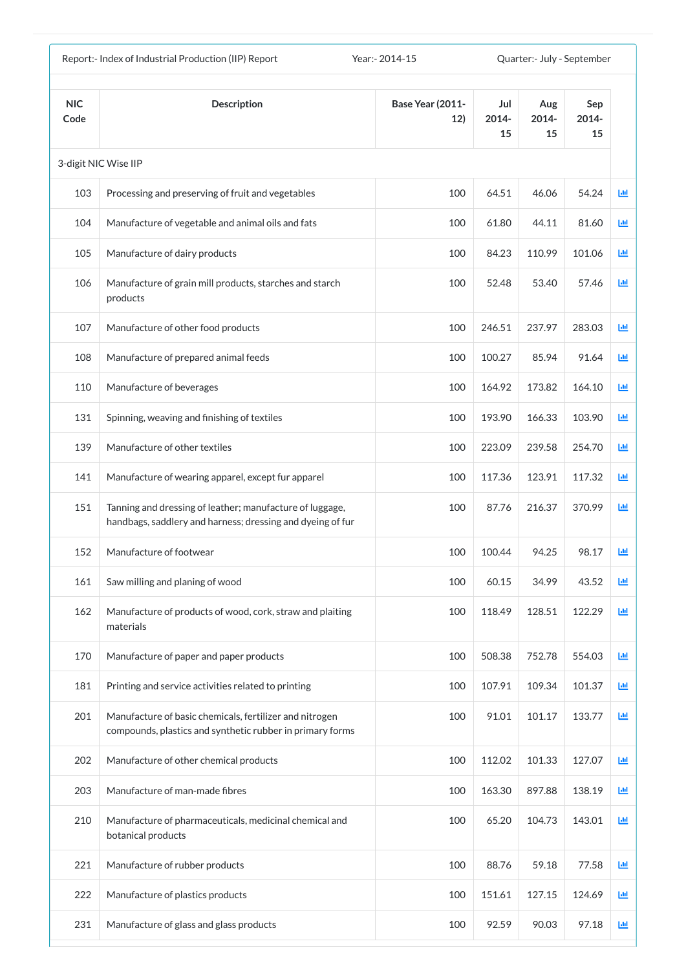| Year: - 2014-15<br>Report:- Index of Industrial Production (IIP) Report |                                                                                                                        |                                |                    | Quarter:- July - September |                    |    |
|-------------------------------------------------------------------------|------------------------------------------------------------------------------------------------------------------------|--------------------------------|--------------------|----------------------------|--------------------|----|
| <b>NIC</b><br>Code                                                      | <b>Description</b>                                                                                                     | <b>Base Year (2011-</b><br>12) | Jul<br>2014-<br>15 | Aug<br>2014-<br>15         | Sep<br>2014-<br>15 |    |
|                                                                         | 3-digit NIC Wise IIP                                                                                                   |                                |                    |                            |                    |    |
| 103                                                                     | Processing and preserving of fruit and vegetables                                                                      | 100                            | 64.51              | 46.06                      | 54.24              | 匝  |
| 104                                                                     | Manufacture of vegetable and animal oils and fats                                                                      | 100                            | 61.80              | 44.11                      | 81.60              | ĿЩ |
| 105                                                                     | Manufacture of dairy products                                                                                          | 100                            | 84.23              | 110.99                     | 101.06             | 画  |
| 106                                                                     | Manufacture of grain mill products, starches and starch<br>products                                                    | 100                            | 52.48              | 53.40                      | 57.46              | 國  |
| 107                                                                     | Manufacture of other food products                                                                                     | 100                            | 246.51             | 237.97                     | 283.03             | 画  |
| 108                                                                     | Manufacture of prepared animal feeds                                                                                   | 100                            | 100.27             | 85.94                      | 91.64              | 匝  |
| 110                                                                     | Manufacture of beverages                                                                                               | 100                            | 164.92             | 173.82                     | 164.10             | 匝  |
| 131                                                                     | Spinning, weaving and finishing of textiles                                                                            | 100                            | 193.90             | 166.33                     | 103.90             | Ш  |
| 139                                                                     | Manufacture of other textiles                                                                                          | 100                            | 223.09             | 239.58                     | 254.70             | ш  |
| 141                                                                     | Manufacture of wearing apparel, except fur apparel                                                                     | 100                            | 117.36             | 123.91                     | 117.32             | ш  |
| 151                                                                     | Tanning and dressing of leather; manufacture of luggage,<br>handbags, saddlery and harness; dressing and dyeing of fur | 100                            | 87.76              | 216.37                     | 370.99             | 匝  |
| 152                                                                     | Manufacture of footwear                                                                                                | 100                            | 100.44             | 94.25                      | 98.17              | 画  |
| 161                                                                     | Saw milling and planing of wood                                                                                        | 100                            | 60.15              | 34.99                      | 43.52              | 画  |
| 162                                                                     | Manufacture of products of wood, cork, straw and plaiting<br>materials                                                 | 100                            | 118.49             | 128.51                     | 122.29             | 画  |
| 170                                                                     | Manufacture of paper and paper products                                                                                | 100                            | 508.38             | 752.78                     | 554.03             | 國  |
| 181                                                                     | Printing and service activities related to printing                                                                    | 100                            | 107.91             | 109.34                     | 101.37             | 画  |
| 201                                                                     | Manufacture of basic chemicals, fertilizer and nitrogen<br>compounds, plastics and synthetic rubber in primary forms   | 100                            | 91.01              | 101.17                     | 133.77             | 画  |
| 202                                                                     | Manufacture of other chemical products                                                                                 | 100                            | 112.02             | 101.33                     | 127.07             | 画  |
| 203                                                                     | Manufacture of man-made fibres                                                                                         | 100                            | 163.30             | 897.88                     | 138.19             | Ш  |
| 210                                                                     | Manufacture of pharmaceuticals, medicinal chemical and<br>botanical products                                           | 100                            | 65.20              | 104.73                     | 143.01             | 画  |
| 221                                                                     | Manufacture of rubber products                                                                                         | 100                            | 88.76              | 59.18                      | 77.58              | 画  |
| 222                                                                     | Manufacture of plastics products                                                                                       | 100                            | 151.61             | 127.15                     | 124.69             | Ш  |
| 231                                                                     | Manufacture of glass and glass products                                                                                | 100                            | 92.59              | 90.03                      | 97.18              | Ш  |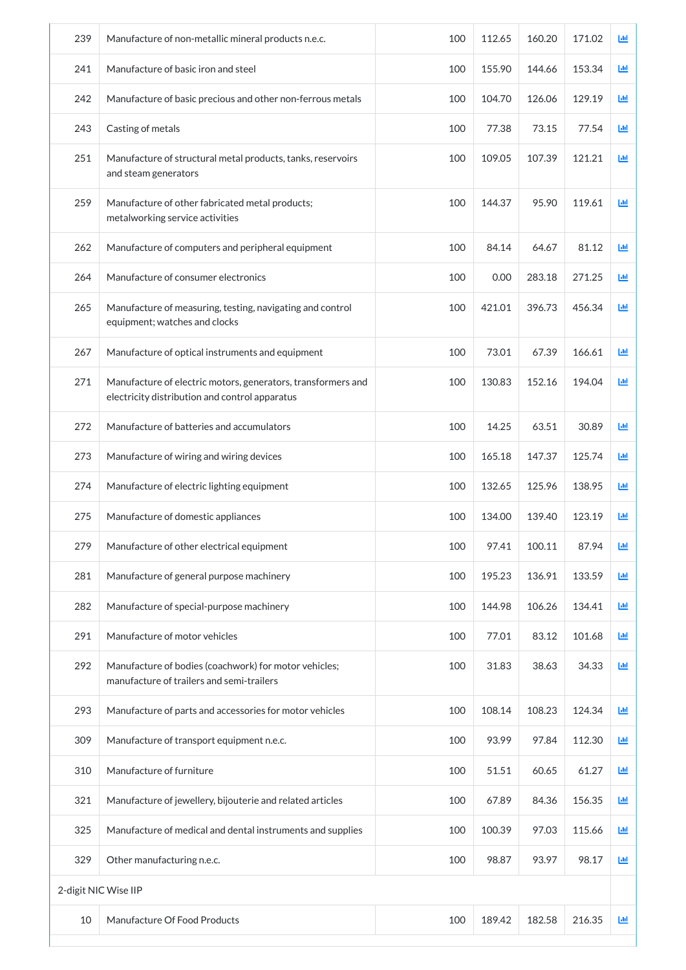| 239 | Manufacture of non-metallic mineral products n.e.c.                                                            | 100 | 112.65 | 160.20 | 171.02 | 画 |
|-----|----------------------------------------------------------------------------------------------------------------|-----|--------|--------|--------|---|
| 241 | Manufacture of basic iron and steel                                                                            | 100 | 155.90 | 144.66 | 153.34 | 画 |
| 242 | Manufacture of basic precious and other non-ferrous metals                                                     | 100 | 104.70 | 126.06 | 129.19 | ш |
| 243 | Casting of metals                                                                                              | 100 | 77.38  | 73.15  | 77.54  | 画 |
| 251 | Manufacture of structural metal products, tanks, reservoirs<br>and steam generators                            | 100 | 109.05 | 107.39 | 121.21 | 画 |
| 259 | Manufacture of other fabricated metal products;<br>metalworking service activities                             | 100 | 144.37 | 95.90  | 119.61 | 画 |
| 262 | Manufacture of computers and peripheral equipment                                                              | 100 | 84.14  | 64.67  | 81.12  | 画 |
| 264 | Manufacture of consumer electronics                                                                            | 100 | 0.00   | 283.18 | 271.25 | 画 |
| 265 | Manufacture of measuring, testing, navigating and control<br>equipment; watches and clocks                     | 100 | 421.01 | 396.73 | 456.34 | 画 |
| 267 | Manufacture of optical instruments and equipment                                                               | 100 | 73.01  | 67.39  | 166.61 | 画 |
| 271 | Manufacture of electric motors, generators, transformers and<br>electricity distribution and control apparatus | 100 | 130.83 | 152.16 | 194.04 | 國 |
| 272 | Manufacture of batteries and accumulators                                                                      | 100 | 14.25  | 63.51  | 30.89  | 画 |
| 273 | Manufacture of wiring and wiring devices                                                                       | 100 | 165.18 | 147.37 | 125.74 | 画 |
| 274 | Manufacture of electric lighting equipment                                                                     | 100 | 132.65 | 125.96 | 138.95 | 画 |
| 275 | Manufacture of domestic appliances                                                                             | 100 | 134.00 | 139.40 | 123.19 | 画 |
| 279 | Manufacture of other electrical equipment                                                                      | 100 | 97.41  | 100.11 | 87.94  | 画 |
| 281 | Manufacture of general purpose machinery                                                                       | 100 | 195.23 | 136.91 | 133.59 | 画 |
| 282 | Manufacture of special-purpose machinery                                                                       | 100 | 144.98 | 106.26 | 134.41 | 画 |
| 291 | Manufacture of motor vehicles                                                                                  | 100 | 77.01  | 83.12  | 101.68 | 画 |
| 292 | Manufacture of bodies (coachwork) for motor vehicles;<br>manufacture of trailers and semi-trailers             | 100 | 31.83  | 38.63  | 34.33  | 画 |
| 293 | Manufacture of parts and accessories for motor vehicles                                                        | 100 | 108.14 | 108.23 | 124.34 | 画 |
| 309 | Manufacture of transport equipment n.e.c.                                                                      | 100 | 93.99  | 97.84  | 112.30 | 画 |
| 310 | Manufacture of furniture                                                                                       | 100 | 51.51  | 60.65  | 61.27  | 画 |
| 321 | Manufacture of jewellery, bijouterie and related articles                                                      | 100 | 67.89  | 84.36  | 156.35 | 画 |
| 325 | Manufacture of medical and dental instruments and supplies                                                     | 100 | 100.39 | 97.03  | 115.66 | 画 |
| 329 | Other manufacturing n.e.c.                                                                                     | 100 | 98.87  | 93.97  | 98.17  | 画 |
|     | 2-digit NIC Wise IIP                                                                                           |     |        |        |        |   |
| 10  | Manufacture Of Food Products                                                                                   | 100 | 189.42 | 182.58 | 216.35 | 画 |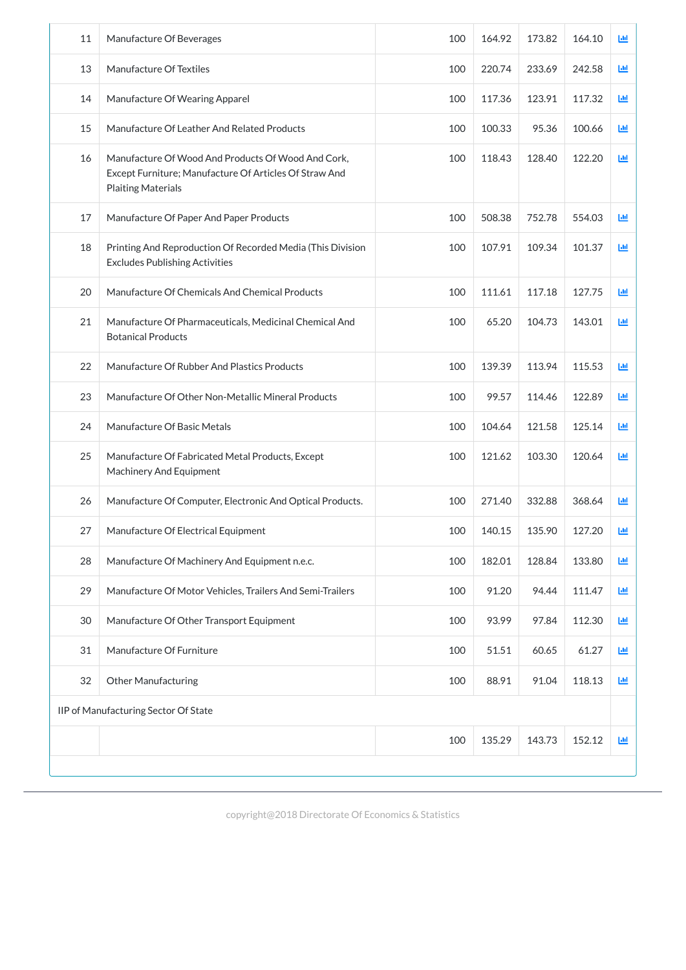| 11 | Manufacture Of Beverages                                                                                                                  | 100 | 164.92 | 173.82 | 164.10 | Ш                          |
|----|-------------------------------------------------------------------------------------------------------------------------------------------|-----|--------|--------|--------|----------------------------|
| 13 | Manufacture Of Textiles                                                                                                                   | 100 | 220.74 | 233.69 | 242.58 | 画                          |
| 14 | Manufacture Of Wearing Apparel                                                                                                            | 100 | 117.36 | 123.91 | 117.32 | 画                          |
| 15 | Manufacture Of Leather And Related Products                                                                                               | 100 | 100.33 | 95.36  | 100.66 | 画                          |
| 16 | Manufacture Of Wood And Products Of Wood And Cork,<br>Except Furniture; Manufacture Of Articles Of Straw And<br><b>Plaiting Materials</b> | 100 | 118.43 | 128.40 | 122.20 | $\underline{\mathsf{Lul}}$ |
| 17 | Manufacture Of Paper And Paper Products                                                                                                   | 100 | 508.38 | 752.78 | 554.03 | 画                          |
| 18 | Printing And Reproduction Of Recorded Media (This Division<br><b>Excludes Publishing Activities</b>                                       | 100 | 107.91 | 109.34 | 101.37 | 画                          |
| 20 | Manufacture Of Chemicals And Chemical Products                                                                                            | 100 | 111.61 | 117.18 | 127.75 | 画                          |
| 21 | Manufacture Of Pharmaceuticals, Medicinal Chemical And<br><b>Botanical Products</b>                                                       | 100 | 65.20  | 104.73 | 143.01 | 画                          |
| 22 | Manufacture Of Rubber And Plastics Products                                                                                               | 100 | 139.39 | 113.94 | 115.53 | 画                          |
| 23 | Manufacture Of Other Non-Metallic Mineral Products                                                                                        | 100 | 99.57  | 114.46 | 122.89 | 画                          |
| 24 | Manufacture Of Basic Metals                                                                                                               | 100 | 104.64 | 121.58 | 125.14 | 画                          |
| 25 | Manufacture Of Fabricated Metal Products, Except<br><b>Machinery And Equipment</b>                                                        | 100 | 121.62 | 103.30 | 120.64 | Ш                          |
| 26 | Manufacture Of Computer, Electronic And Optical Products.                                                                                 | 100 | 271.40 | 332.88 | 368.64 | 画                          |
| 27 | Manufacture Of Electrical Equipment                                                                                                       | 100 | 140.15 | 135.90 | 127.20 | LЩ                         |
| 28 | Manufacture Of Machinery And Equipment n.e.c.                                                                                             | 100 | 182.01 | 128.84 | 133.80 | 画                          |
| 29 | Manufacture Of Motor Vehicles, Trailers And Semi-Trailers                                                                                 | 100 | 91.20  | 94.44  | 111.47 | 画                          |
| 30 | Manufacture Of Other Transport Equipment                                                                                                  | 100 | 93.99  | 97.84  | 112.30 | 画                          |
| 31 | Manufacture Of Furniture                                                                                                                  | 100 | 51.51  | 60.65  | 61.27  | 画                          |
| 32 | Other Manufacturing                                                                                                                       | 100 | 88.91  | 91.04  | 118.13 | 画                          |
|    | IIP of Manufacturing Sector Of State                                                                                                      |     |        |        |        |                            |
|    |                                                                                                                                           | 100 | 135.29 | 143.73 | 152.12 | 画                          |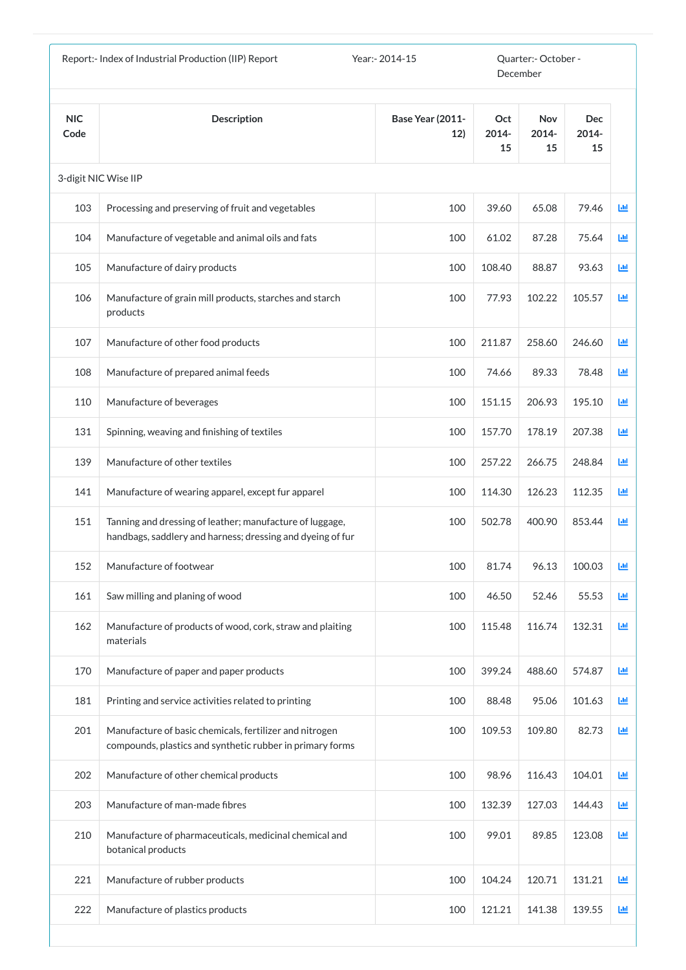|                    | Report:- Index of Industrial Production (IIP) Report                                                                   | Year:- 2014-15                 |                    | Quarter:- October -<br>December |                           |             |
|--------------------|------------------------------------------------------------------------------------------------------------------------|--------------------------------|--------------------|---------------------------------|---------------------------|-------------|
| <b>NIC</b><br>Code | <b>Description</b>                                                                                                     | <b>Base Year (2011-</b><br>12) | Oct<br>2014-<br>15 | <b>Nov</b><br>2014-<br>15       | <b>Dec</b><br>2014-<br>15 |             |
|                    | 3-digit NIC Wise IIP                                                                                                   |                                |                    |                                 |                           |             |
| 103                | Processing and preserving of fruit and vegetables                                                                      | 100                            | 39.60              | 65.08                           | 79.46                     | 画           |
| 104                | Manufacture of vegetable and animal oils and fats                                                                      | 100                            | 61.02              | 87.28                           | 75.64                     | $L_{\rm H}$ |
| 105                | Manufacture of dairy products                                                                                          | 100                            | 108.40             | 88.87                           | 93.63                     | $L_{\rm H}$ |
| 106                | Manufacture of grain mill products, starches and starch<br>products                                                    | 100                            | 77.93              | 102.22                          | 105.57                    | 画           |
| 107                | Manufacture of other food products                                                                                     | 100                            | 211.87             | 258.60                          | 246.60                    | 画           |
| 108                | Manufacture of prepared animal feeds                                                                                   | 100                            | 74.66              | 89.33                           | 78.48                     | 画           |
| 110                | Manufacture of beverages                                                                                               | 100                            | 151.15             | 206.93                          | 195.10                    | 画           |
| 131                | Spinning, weaving and finishing of textiles                                                                            | 100                            | 157.70             | 178.19                          | 207.38                    | 画           |
| 139                | Manufacture of other textiles                                                                                          | 100                            | 257.22             | 266.75                          | 248.84                    | 画           |
| 141                | Manufacture of wearing apparel, except fur apparel                                                                     | 100                            | 114.30             | 126.23                          | 112.35                    | 画           |
| 151                | Tanning and dressing of leather; manufacture of luggage,<br>handbags, saddlery and harness; dressing and dyeing of fur | 100                            | 502.78             | 400.90                          | 853.44                    | 画           |
| 152                | Manufacture of footwear                                                                                                | 100                            | 81.74              | 96.13                           | 100.03                    | 画           |
| 161                | Saw milling and planing of wood                                                                                        | 100                            | 46.50              | 52.46                           | 55.53                     | 画           |
| 162                | Manufacture of products of wood, cork, straw and plaiting<br>materials                                                 | 100                            | 115.48             | 116.74                          | 132.31                    | 画           |
| 170                | Manufacture of paper and paper products                                                                                | 100                            | 399.24             | 488.60                          | 574.87                    | 画           |
| 181                | Printing and service activities related to printing                                                                    | 100                            | 88.48              | 95.06                           | 101.63                    | 画           |
| 201                | Manufacture of basic chemicals, fertilizer and nitrogen<br>compounds, plastics and synthetic rubber in primary forms   | 100                            | 109.53             | 109.80                          | 82.73                     | 画           |
| 202                | Manufacture of other chemical products                                                                                 | 100                            | 98.96              | 116.43                          | 104.01                    | 画           |
| 203                | Manufacture of man-made fibres                                                                                         | 100                            | 132.39             | 127.03                          | 144.43                    | 画           |
| 210                | Manufacture of pharmaceuticals, medicinal chemical and<br>botanical products                                           | 100                            | 99.01              | 89.85                           | 123.08                    | 画           |
| 221                | Manufacture of rubber products                                                                                         | 100                            | 104.24             | 120.71                          | 131.21                    | 画           |
| 222                | Manufacture of plastics products                                                                                       | 100                            | 121.21             | 141.38                          | 139.55                    | 画           |
|                    |                                                                                                                        |                                |                    |                                 |                           |             |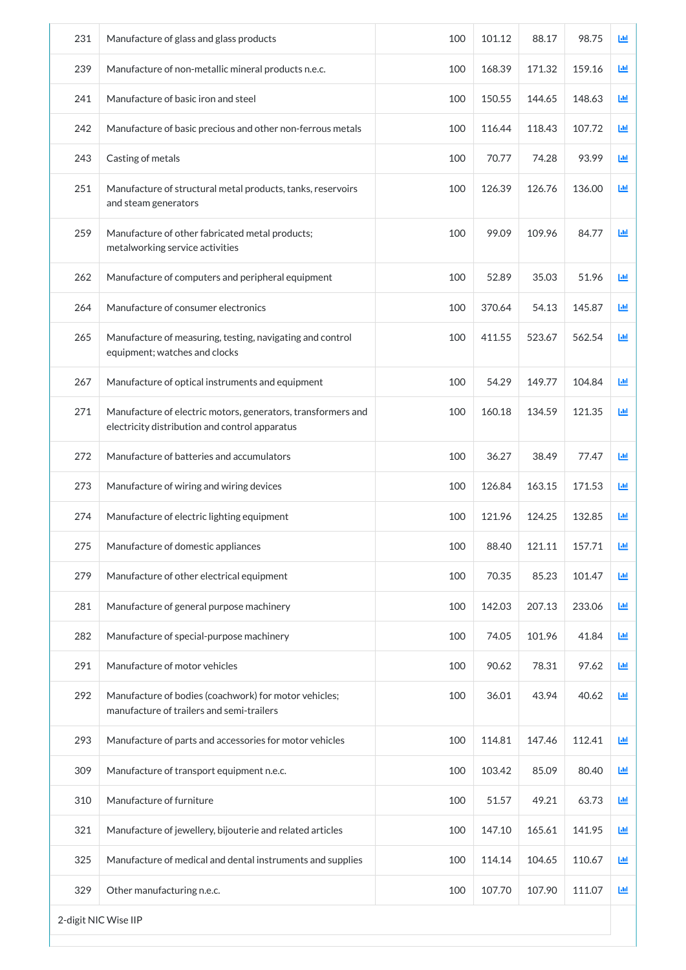| 231 | Manufacture of glass and glass products                                                                        | 100 | 101.12 | 88.17  | 98.75  | 画 |  |  |
|-----|----------------------------------------------------------------------------------------------------------------|-----|--------|--------|--------|---|--|--|
| 239 | Manufacture of non-metallic mineral products n.e.c.                                                            | 100 | 168.39 | 171.32 | 159.16 | 画 |  |  |
| 241 | Manufacture of basic iron and steel                                                                            | 100 | 150.55 | 144.65 | 148.63 | ш |  |  |
| 242 | Manufacture of basic precious and other non-ferrous metals                                                     | 100 | 116.44 | 118.43 | 107.72 | 画 |  |  |
| 243 | Casting of metals                                                                                              | 100 | 70.77  | 74.28  | 93.99  | 画 |  |  |
| 251 | Manufacture of structural metal products, tanks, reservoirs<br>and steam generators                            | 100 | 126.39 | 126.76 | 136.00 | 画 |  |  |
| 259 | Manufacture of other fabricated metal products;<br>metalworking service activities                             | 100 | 99.09  | 109.96 | 84.77  | 画 |  |  |
| 262 | Manufacture of computers and peripheral equipment                                                              | 100 | 52.89  | 35.03  | 51.96  | 画 |  |  |
| 264 | Manufacture of consumer electronics                                                                            | 100 | 370.64 | 54.13  | 145.87 | 画 |  |  |
| 265 | Manufacture of measuring, testing, navigating and control<br>equipment; watches and clocks                     | 100 | 411.55 | 523.67 | 562.54 | 画 |  |  |
| 267 | Manufacture of optical instruments and equipment                                                               | 100 | 54.29  | 149.77 | 104.84 | 画 |  |  |
| 271 | Manufacture of electric motors, generators, transformers and<br>electricity distribution and control apparatus | 100 | 160.18 | 134.59 | 121.35 | 國 |  |  |
| 272 | Manufacture of batteries and accumulators                                                                      | 100 | 36.27  | 38.49  | 77.47  | 画 |  |  |
| 273 | Manufacture of wiring and wiring devices                                                                       | 100 | 126.84 | 163.15 | 171.53 | 画 |  |  |
| 274 | Manufacture of electric lighting equipment                                                                     | 100 | 121.96 | 124.25 | 132.85 | ш |  |  |
| 275 | Manufacture of domestic appliances                                                                             | 100 | 88.40  | 121.11 | 157.71 | 画 |  |  |
| 279 | Manufacture of other electrical equipment                                                                      | 100 | 70.35  | 85.23  | 101.47 | 画 |  |  |
| 281 | Manufacture of general purpose machinery                                                                       | 100 | 142.03 | 207.13 | 233.06 | 画 |  |  |
| 282 | Manufacture of special-purpose machinery                                                                       | 100 | 74.05  | 101.96 | 41.84  | 画 |  |  |
| 291 | Manufacture of motor vehicles                                                                                  | 100 | 90.62  | 78.31  | 97.62  | 画 |  |  |
| 292 | Manufacture of bodies (coachwork) for motor vehicles;<br>manufacture of trailers and semi-trailers             | 100 | 36.01  | 43.94  | 40.62  | 画 |  |  |
| 293 | Manufacture of parts and accessories for motor vehicles                                                        | 100 | 114.81 | 147.46 | 112.41 | 画 |  |  |
| 309 | Manufacture of transport equipment n.e.c.                                                                      | 100 | 103.42 | 85.09  | 80.40  | 画 |  |  |
| 310 | Manufacture of furniture                                                                                       | 100 | 51.57  | 49.21  | 63.73  | 画 |  |  |
| 321 | Manufacture of jewellery, bijouterie and related articles                                                      | 100 | 147.10 | 165.61 | 141.95 | 画 |  |  |
| 325 | Manufacture of medical and dental instruments and supplies                                                     | 100 | 114.14 | 104.65 | 110.67 | 画 |  |  |
| 329 | Other manufacturing n.e.c.                                                                                     | 100 | 107.70 | 107.90 | 111.07 | 画 |  |  |
|     | 2-digit NIC Wise IIP                                                                                           |     |        |        |        |   |  |  |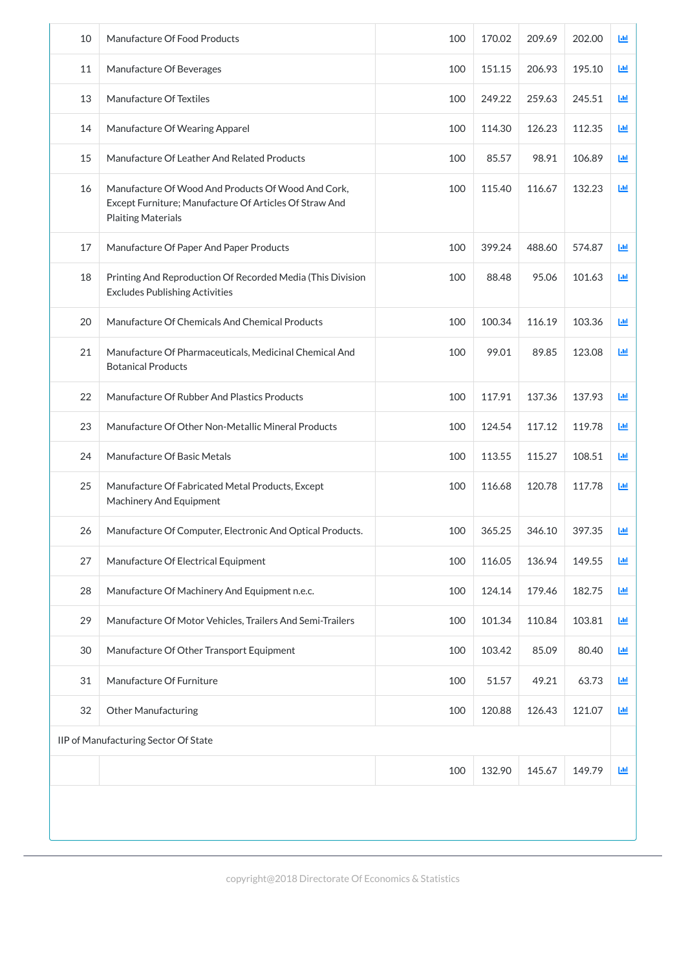| 10 | Manufacture Of Food Products                                                                                                              | 100 | 170.02 | 209.69 | 202.00 | Щ |
|----|-------------------------------------------------------------------------------------------------------------------------------------------|-----|--------|--------|--------|---|
| 11 | Manufacture Of Beverages                                                                                                                  | 100 | 151.15 | 206.93 | 195.10 | 画 |
| 13 | Manufacture Of Textiles                                                                                                                   | 100 | 249.22 | 259.63 | 245.51 | 画 |
| 14 | Manufacture Of Wearing Apparel                                                                                                            | 100 | 114.30 | 126.23 | 112.35 | 画 |
| 15 | Manufacture Of Leather And Related Products                                                                                               | 100 | 85.57  | 98.91  | 106.89 | 画 |
| 16 | Manufacture Of Wood And Products Of Wood And Cork,<br>Except Furniture; Manufacture Of Articles Of Straw And<br><b>Plaiting Materials</b> | 100 | 115.40 | 116.67 | 132.23 | 画 |
| 17 | Manufacture Of Paper And Paper Products                                                                                                   | 100 | 399.24 | 488.60 | 574.87 | 画 |
| 18 | Printing And Reproduction Of Recorded Media (This Division<br><b>Excludes Publishing Activities</b>                                       | 100 | 88.48  | 95.06  | 101.63 | 画 |
| 20 | Manufacture Of Chemicals And Chemical Products                                                                                            | 100 | 100.34 | 116.19 | 103.36 | 画 |
| 21 | Manufacture Of Pharmaceuticals, Medicinal Chemical And<br><b>Botanical Products</b>                                                       | 100 | 99.01  | 89.85  | 123.08 | 画 |
| 22 | Manufacture Of Rubber And Plastics Products                                                                                               | 100 | 117.91 | 137.36 | 137.93 | 画 |
| 23 | Manufacture Of Other Non-Metallic Mineral Products                                                                                        | 100 | 124.54 | 117.12 | 119.78 | 画 |
| 24 | Manufacture Of Basic Metals                                                                                                               | 100 | 113.55 | 115.27 | 108.51 | 画 |
| 25 | Manufacture Of Fabricated Metal Products, Except<br><b>Machinery And Equipment</b>                                                        | 100 | 116.68 | 120.78 | 117.78 | 画 |
| 26 | Manufacture Of Computer, Electronic And Optical Products.                                                                                 | 100 | 365.25 | 346.10 | 397.35 | 画 |
| 27 | Manufacture Of Electrical Equipment                                                                                                       | 100 | 116.05 | 136.94 | 149.55 | 画 |
| 28 | Manufacture Of Machinery And Equipment n.e.c.                                                                                             | 100 | 124.14 | 179.46 | 182.75 | 画 |
| 29 | Manufacture Of Motor Vehicles, Trailers And Semi-Trailers                                                                                 | 100 | 101.34 | 110.84 | 103.81 | 画 |
| 30 | Manufacture Of Other Transport Equipment                                                                                                  | 100 | 103.42 | 85.09  | 80.40  | 画 |
| 31 | Manufacture Of Furniture                                                                                                                  | 100 | 51.57  | 49.21  | 63.73  | 画 |
| 32 | <b>Other Manufacturing</b>                                                                                                                | 100 | 120.88 | 126.43 | 121.07 | 画 |
|    | IIP of Manufacturing Sector Of State                                                                                                      |     |        |        |        |   |
|    |                                                                                                                                           | 100 | 132.90 | 145.67 | 149.79 | 画 |
|    |                                                                                                                                           |     |        |        |        |   |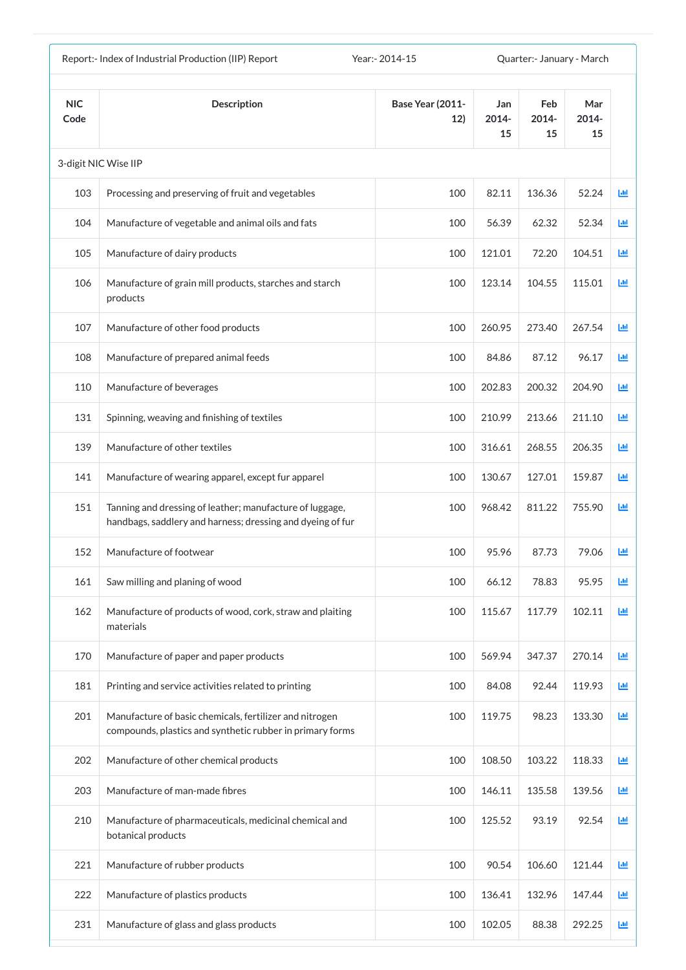| Year: - 2014-15<br>Report:- Index of Industrial Production (IIP) Report<br>Quarter: January - March |                                                                                                                        |                                |                    |                    |                    |                 |
|-----------------------------------------------------------------------------------------------------|------------------------------------------------------------------------------------------------------------------------|--------------------------------|--------------------|--------------------|--------------------|-----------------|
| <b>NIC</b><br>Code                                                                                  | <b>Description</b>                                                                                                     | <b>Base Year (2011-</b><br>12) | Jan<br>2014-<br>15 | Feb<br>2014-<br>15 | Mar<br>2014-<br>15 |                 |
|                                                                                                     | 3-digit NIC Wise IIP                                                                                                   |                                |                    |                    |                    |                 |
| 103                                                                                                 | Processing and preserving of fruit and vegetables                                                                      | 100                            | 82.11              | 136.36             | 52.24              | $ d\mathbf{r} $ |
| 104                                                                                                 | Manufacture of vegetable and animal oils and fats                                                                      | 100                            | 56.39              | 62.32              | 52.34              | 匝               |
| 105                                                                                                 | Manufacture of dairy products                                                                                          | 100                            | 121.01             | 72.20              | 104.51             | 匝               |
| 106                                                                                                 | Manufacture of grain mill products, starches and starch<br>products                                                    | 100                            | 123.14             | 104.55             | 115.01             | 國               |
| 107                                                                                                 | Manufacture of other food products                                                                                     | 100                            | 260.95             | 273.40             | 267.54             | Ш               |
| 108                                                                                                 | Manufacture of prepared animal feeds                                                                                   | 100                            | 84.86              | 87.12              | 96.17              | 画               |
| 110                                                                                                 | Manufacture of beverages                                                                                               | 100                            | 202.83             | 200.32             | 204.90             | 匝               |
| 131                                                                                                 | Spinning, weaving and finishing of textiles                                                                            | 100                            | 210.99             | 213.66             | 211.10             | 國               |
| 139                                                                                                 | Manufacture of other textiles                                                                                          | 100                            | 316.61             | 268.55             | 206.35             | 画               |
| 141                                                                                                 | Manufacture of wearing apparel, except fur apparel                                                                     | 100                            | 130.67             | 127.01             | 159.87             | ш               |
| 151                                                                                                 | Tanning and dressing of leather; manufacture of luggage,<br>handbags, saddlery and harness; dressing and dyeing of fur | 100                            | 968.42             | 811.22             | 755.90             | ш               |
| 152                                                                                                 | Manufacture of footwear                                                                                                | 100                            | 95.96              | 87.73              | 79.06              | ш               |
| 161                                                                                                 | Saw milling and planing of wood                                                                                        | 100                            | 66.12              | 78.83              | 95.95              | 画               |
| 162                                                                                                 | Manufacture of products of wood, cork, straw and plaiting<br>materials                                                 | 100                            | 115.67             | 117.79             | 102.11             | 画               |
| 170                                                                                                 | Manufacture of paper and paper products                                                                                | 100                            | 569.94             | 347.37             | 270.14             | 國               |
| 181                                                                                                 | Printing and service activities related to printing                                                                    | 100                            | 84.08              | 92.44              | 119.93             | 画               |
| 201                                                                                                 | Manufacture of basic chemicals, fertilizer and nitrogen<br>compounds, plastics and synthetic rubber in primary forms   | 100                            | 119.75             | 98.23              | 133.30             | 画               |
| 202                                                                                                 | Manufacture of other chemical products                                                                                 | 100                            | 108.50             | 103.22             | 118.33             | 画               |
| 203                                                                                                 | Manufacture of man-made fibres                                                                                         | 100                            | 146.11             | 135.58             | 139.56             | Ш               |
| 210                                                                                                 | Manufacture of pharmaceuticals, medicinal chemical and<br>botanical products                                           | 100                            | 125.52             | 93.19              | 92.54              | 画               |
| 221                                                                                                 | Manufacture of rubber products                                                                                         | 100                            | 90.54              | 106.60             | 121.44             | 画               |
| 222                                                                                                 | Manufacture of plastics products                                                                                       | 100                            | 136.41             | 132.96             | 147.44             | Ш               |
| 231                                                                                                 | Manufacture of glass and glass products                                                                                | 100                            | 102.05             | 88.38              | 292.25             | ĿЩ              |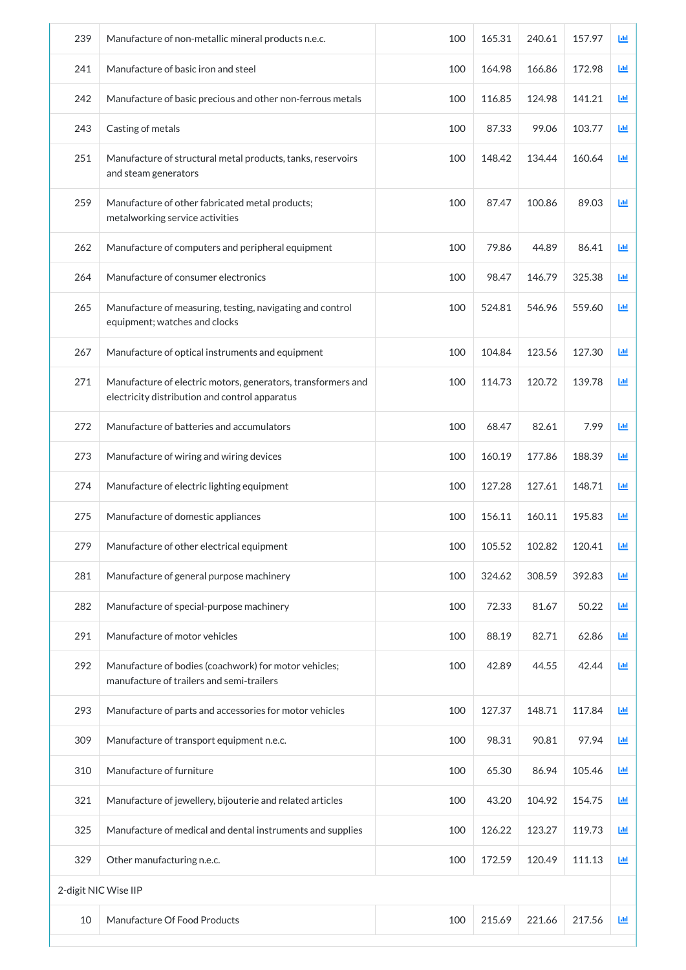| 239                  | Manufacture of non-metallic mineral products n.e.c.                                                            | 100 | 165.31 | 240.61 | 157.97 | Ш |
|----------------------|----------------------------------------------------------------------------------------------------------------|-----|--------|--------|--------|---|
| 241                  | Manufacture of basic iron and steel                                                                            | 100 | 164.98 | 166.86 | 172.98 | 画 |
| 242                  | Manufacture of basic precious and other non-ferrous metals                                                     | 100 | 116.85 | 124.98 | 141.21 | 画 |
| 243                  | Casting of metals                                                                                              | 100 | 87.33  | 99.06  | 103.77 | 画 |
| 251                  | Manufacture of structural metal products, tanks, reservoirs<br>and steam generators                            | 100 | 148.42 | 134.44 | 160.64 | 画 |
| 259                  | Manufacture of other fabricated metal products;<br>metalworking service activities                             | 100 | 87.47  | 100.86 | 89.03  | 画 |
| 262                  | Manufacture of computers and peripheral equipment                                                              | 100 | 79.86  | 44.89  | 86.41  | 画 |
| 264                  | Manufacture of consumer electronics                                                                            | 100 | 98.47  | 146.79 | 325.38 | 画 |
| 265                  | Manufacture of measuring, testing, navigating and control<br>equipment; watches and clocks                     | 100 | 524.81 | 546.96 | 559.60 | 画 |
| 267                  | Manufacture of optical instruments and equipment                                                               | 100 | 104.84 | 123.56 | 127.30 | 画 |
| 271                  | Manufacture of electric motors, generators, transformers and<br>electricity distribution and control apparatus | 100 | 114.73 | 120.72 | 139.78 | 画 |
| 272                  | Manufacture of batteries and accumulators                                                                      | 100 | 68.47  | 82.61  | 7.99   | 画 |
| 273                  | Manufacture of wiring and wiring devices                                                                       | 100 | 160.19 | 177.86 | 188.39 | 画 |
| 274                  | Manufacture of electric lighting equipment                                                                     | 100 | 127.28 | 127.61 | 148.71 | 画 |
| 275                  | Manufacture of domestic appliances                                                                             | 100 | 156.11 | 160.11 | 195.83 | ш |
| 279                  | Manufacture of other electrical equipment                                                                      | 100 | 105.52 | 102.82 | 120.41 | 画 |
| 281                  | Manufacture of general purpose machinery                                                                       | 100 | 324.62 | 308.59 | 392.83 | 画 |
| 282                  | Manufacture of special-purpose machinery                                                                       | 100 | 72.33  | 81.67  | 50.22  | 画 |
| 291                  | Manufacture of motor vehicles                                                                                  | 100 | 88.19  | 82.71  | 62.86  | 画 |
| 292                  | Manufacture of bodies (coachwork) for motor vehicles;<br>manufacture of trailers and semi-trailers             | 100 | 42.89  | 44.55  | 42.44  | 画 |
| 293                  | Manufacture of parts and accessories for motor vehicles                                                        | 100 | 127.37 | 148.71 | 117.84 | 画 |
| 309                  | Manufacture of transport equipment n.e.c.                                                                      | 100 | 98.31  | 90.81  | 97.94  | 画 |
| 310                  | Manufacture of furniture                                                                                       | 100 | 65.30  | 86.94  | 105.46 | 画 |
| 321                  | Manufacture of jewellery, bijouterie and related articles                                                      | 100 | 43.20  | 104.92 | 154.75 | 画 |
| 325                  | Manufacture of medical and dental instruments and supplies                                                     | 100 | 126.22 | 123.27 | 119.73 | 画 |
| 329                  | Other manufacturing n.e.c.                                                                                     | 100 | 172.59 | 120.49 | 111.13 | 画 |
| 2-digit NIC Wise IIP |                                                                                                                |     |        |        |        |   |
| 10                   | Manufacture Of Food Products                                                                                   | 100 | 215.69 | 221.66 | 217.56 | 画 |